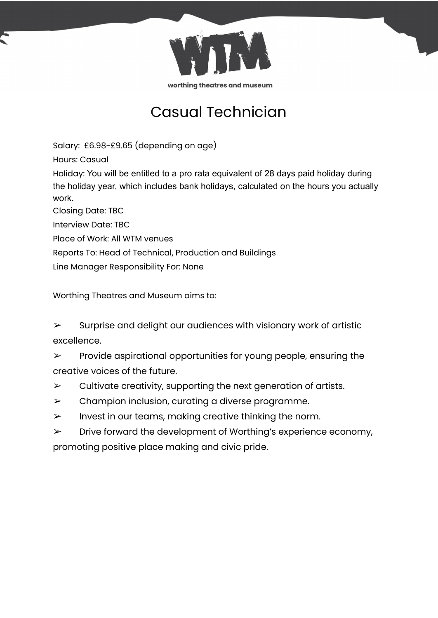

# Casual Technician

Salary: £6.98-£9.65 (depending on age)

Hours: Casual

Holiday: You will be entitled to a pro rata equivalent of 28 days paid holiday during the holiday year, which includes bank holidays, calculated on the hours you actually work.

Closing Date: TBC

Interview Date: TBC

Place of Work: All WTM venues

Reports To: Head of Technical, Production and Buildings

Line Manager Responsibility For: None

Worthing Theatres and Museum aims to:

 $\triangleright$  Surprise and delight our audiences with visionary work of artistic excellence.

 $\triangleright$  Provide aspirational opportunities for young people, ensuring the creative voices of the future.

- $\triangleright$  Cultivate creativity, supporting the next generation of artists.
- $\triangleright$  Champion inclusion, curating a diverse programme.
- $\triangleright$  Invest in our teams, making creative thinking the norm.
- $\triangleright$  Drive forward the development of Worthing's experience economy, promoting positive place making and civic pride.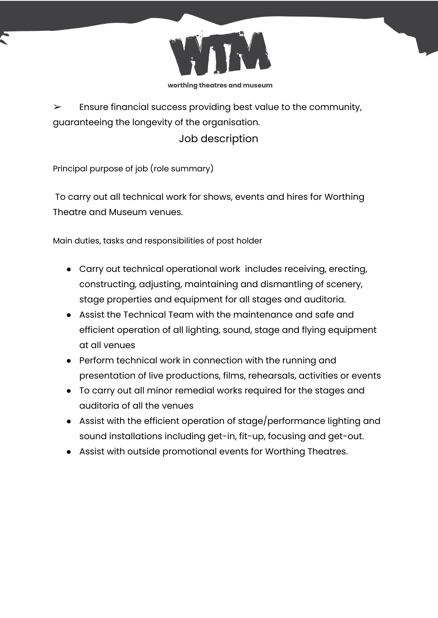

 $\triangleright$  Ensure financial success providing best value to the community, guaranteeing the longevity of the organisation.

## Job description

Principal purpose of job (role summary)

To carry out all technical work for shows, events and hires for Worthing Theatre and Museum venues.

Main duties, tasks and responsibilities of post holder

- Carry out technical operational work includes receiving, erecting, constructing, adjusting, maintaining and dismantling of scenery, stage properties and equipment for all stages and auditoria.
- Assist the Technical Team with the maintenance and safe and efficient operation of all lighting, sound, stage and flying equipment at all venues
- Perform technical work in connection with the running and presentation of live productions, films, rehearsals, activities or events
- To carry out all minor remedial works required for the stages and auditoria of all the venues
- Assist with the efficient operation of stage/performance lighting and sound installations including get-in, fit-up, focusing and get-out.
- Assist with outside promotional events for Worthing Theatres.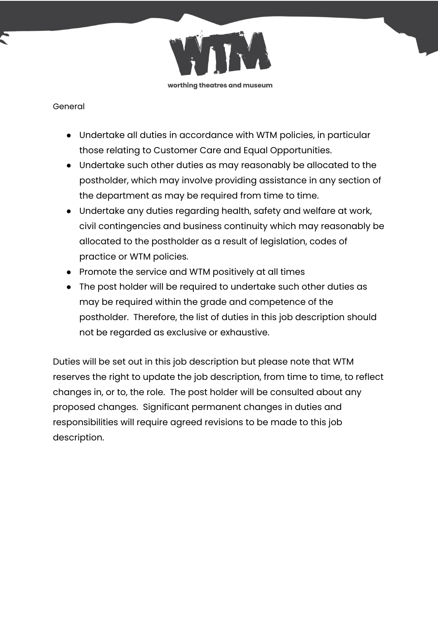

### General

- Undertake all duties in accordance with WTM policies, in particular those relating to Customer Care and Equal Opportunities.
- Undertake such other duties as may reasonably be allocated to the postholder, which may involve providing assistance in any section of the department as may be required from time to time.
- Undertake any duties regarding health, safety and welfare at work, civil contingencies and business continuity which may reasonably be allocated to the postholder as a result of legislation, codes of practice or WTM policies.
- Promote the service and WTM positively at all times
- The post holder will be required to undertake such other duties as may be required within the grade and competence of the postholder. Therefore, the list of duties in this job description should not be regarded as exclusive or exhaustive.

Duties will be set out in this job description but please note that WTM reserves the right to update the job description, from time to time, to reflect changes in, or to, the role. The post holder will be consulted about any proposed changes. Significant permanent changes in duties and responsibilities will require agreed revisions to be made to this job description.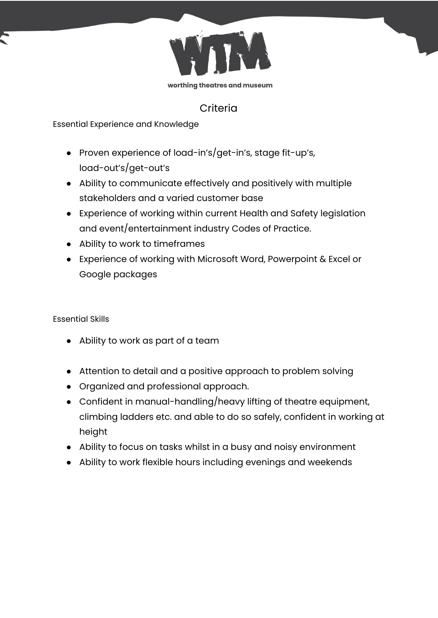

### **Criteria**

Essential Experience and Knowledge

- Proven experience of load-in's/get-in's, stage fit-up's, load-out's/get-out's
- Ability to communicate effectively and positively with multiple stakeholders and a varied customer base
- Experience of working within current Health and Safety legislation and event/entertainment industry Codes of Practice.
- Ability to work to timeframes
- Experience of working with Microsoft Word, Powerpoint & Excel or Google packages

Essential Skills

- Ability to work as part of a team
- Attention to detail and a positive approach to problem solving
- Organized and professional approach.
- Confident in manual-handling/heavy lifting of theatre equipment, climbing ladders etc. and able to do so safely, confident in working at height
- Ability to focus on tasks whilst in a busy and noisy environment
- Ability to work flexible hours including evenings and weekends